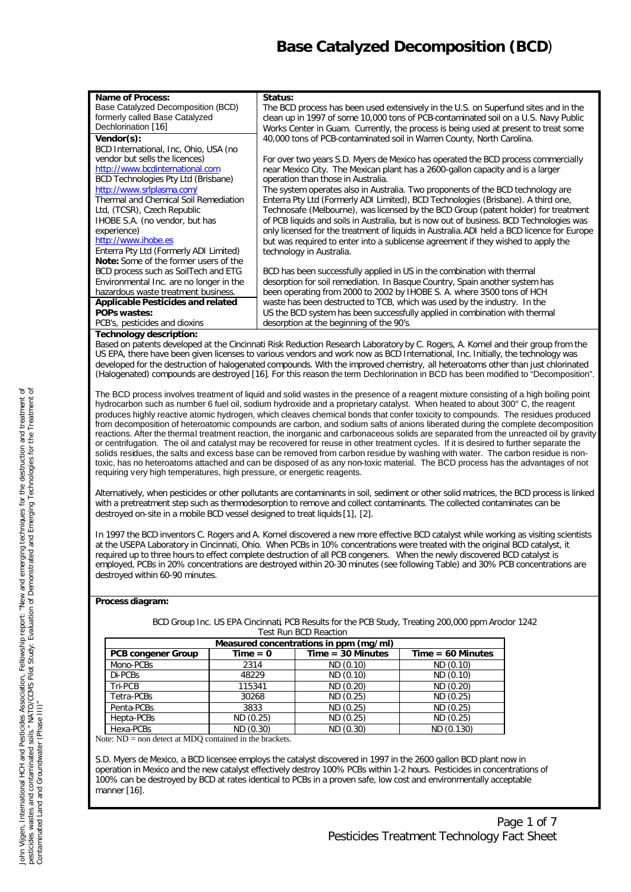# *Base Catalyzed Decomposition (BCD*)

| Name of Process:                             | Status:                                                                                    |
|----------------------------------------------|--------------------------------------------------------------------------------------------|
| Base Catalyzed Decomposition (BCD)           | The BCD process has been used extensively in the U.S. on Superfund sites and in the        |
| formerly called Base Catalyzed               | clean up in 1997 of some 10,000 tons of PCB-contaminated soil on a U.S. Navy Public        |
| Dechlorination [16]                          | Works Center in Guam. Currently, the process is being used at present to treat some        |
| Vendor(s):                                   | 40,000 tons of PCB-contaminated soil in Warren County, North Carolina.                     |
| BCD International, Inc, Ohio, USA (no        |                                                                                            |
| vendor but sells the licences)               | For over two years S.D. Myers de Mexico has operated the BCD process commercially          |
| http://www.bcdinternational.com              | near Mexico City. The Mexican plant has a 2600-gallon capacity and is a larger             |
| BCD Technologies Pty Ltd (Brisbane)          | operation than those in Australia.                                                         |
| http://www.srlplasma.com/                    | The system operates also in Australia. Two proponents of the BCD technology are            |
| Thermal and Chemical Soil Remediation        | Enterra Pty Ltd (Formerly ADI Limited), BCD Technologies (Brisbane). A third one,          |
| Ltd, (TCSR), Czech Republic                  | Technosafe (Melbourne), was licensed by the BCD Group (patent holder) for treatment        |
| IHOBE S.A. (no vendor, but has               | of PCB liquids and soils in Australia, but is now out of business. BCD Technologies was    |
| experience)                                  | only licensed for the treatment of liquids in Australia. ADI held a BCD licence for Europe |
| http://www.ihobe.es                          | but was required to enter into a sublicense agreement if they wished to apply the          |
| Enterra Pty Ltd (Formerly ADI Limited)       | technology in Australia.                                                                   |
| <b>Note:</b> Some of the former users of the |                                                                                            |
| BCD process such as SoilTech and ETG         | BCD has been successfully applied in US in the combination with thermal                    |
| Environmental Inc. are no longer in the      | desorption for soil remediation. In Basque Country, Spain another system has               |
| hazardous waste treatment business.          | been operating from 2000 to 2002 by IHOBE S. A. where 3500 tons of HCH                     |
| <b>Applicable Pesticides and related</b>     | waste has been destructed to TCB, which was used by the industry. In the                   |
| <b>POPs wastes:</b>                          | US the BCD system has been successfully applied in combination with thermal                |
| PCB's, pesticides and dioxins                | desorption at the beginning of the 90's.                                                   |

#### **Technology description:**

Based on patents developed at the Cincinnati Risk Reduction Research Laboratory by C. Rogers, A. Kornel and their group from the US EPA, there have been given licenses to various vendors and work now as BCD International, Inc. Initially, the technology was developed for the destruction of halogenated compounds. With the improved chemistry, all heteroatoms other than just chlorinated (Halogenated) compounds are destroyed [16]. For this reason the term Dechlorination in BCD has been modified to "Decomposition".

The BCD process involves treatment of liquid and solid wastes in the presence of a reagent mixture consisting of a high boiling point hydrocarbon such as number 6 fuel oil, sodium hydroxide and a proprietary catalyst. When heated to about 300° C, the reagent produces highly reactive atomic hydrogen, which cleaves chemical bonds that confer toxicity to compounds. The residues produced from decomposition of heteroatomic compounds are carbon, and sodium salts of anions liberated during the complete decomposition reactions. After the thermal treatment reaction, the inorganic and carbonaceous solids are separated from the unreacted oil by gravity or centrifugation. The oil and catalyst may be recovered for reuse in other treatment cycles. If it is desired to further separate the solids residues, the salts and excess base can be removed from carbon residue by washing with water. The carbon residue is nontoxic, has no heteroatoms attached and can be disposed of as any non-toxic material. The BCD process has the advantages of not requiring very high temperatures, high pressure, or energetic reagents.

Alternatively, when pesticides or other pollutants are contaminants in soil, sediment or other solid matrices, the BCD process is linked with a pretreatment step such as thermodesorption to remove and collect contaminants. The collected contaminates can be destroyed on-site in a mobile BCD vessel designed to treat liquids [1], [2].

In 1997 the BCD inventors C. Rogers and A. Kornel discovered a new more effective BCD catalyst while working as visiting scientists at the USEPA Laboratory in Cincinnati, Ohio. When PCBs in 10% concentrations were treated with the original BCD catalyst, it required up to three hours to effect complete destruction of all PCB congeners. When the newly discovered BCD catalyst is employed, PCBs in 20% concentrations are destroyed within 20-30 minutes (see following Table) and 30% PCB concentrations are destroyed within 60-90 minutes.

### **Process diagram:**

|                           |            | Test Run BUD Reaction.                 |                     |
|---------------------------|------------|----------------------------------------|---------------------|
|                           |            | Measured concentrations in ppm (mg/ml) |                     |
| <b>PCB congener Group</b> | $Time = 0$ | $Time = 30$ Minutes                    | $Time = 60$ Minutes |
| Mono-PCBs                 | 2314       | ND (0.10)                              | ND (0.10)           |
| Di-PCBs                   | 48229      | ND (0.10)                              | ND (0.10)           |
| Tri-PCB                   | 115341     | ND (0.20)                              | ND (0.20)           |
| Tetra-PCBs                | 30268      | ND(0.25)                               | ND(0.25)            |
| Penta-PCBs                | 3833       | ND (0.25)                              | ND (0.25)           |
| Hepta-PCBs                | ND(0.25)   | ND(0.25)                               | ND(0.25)            |
| Hexa-PCBs                 | ND (0.30)  | ND (0.30)                              | ND (0.130)          |

BCD Group Inc. US EPA Cincinnati, PCB Results for the PCB Study, Treating 200,000 ppm Aroclor 1242 Test Run BCD Reaction

Note: ND = non detect at MDQ contained in the brackets.

S.D. Myers de Mexico, a BCD licensee employs the catalyst discovered in 1997 in the 2600 gallon BCD plant now in operation in Mexico and the new catalyst effectively destroy 100% PCBs within 1-2 hours. Pesticides in concentrations of 100% can be destroyed by BCD at rates identical to PCBs in a proven safe, low cost and environmentally acceptable manner [16].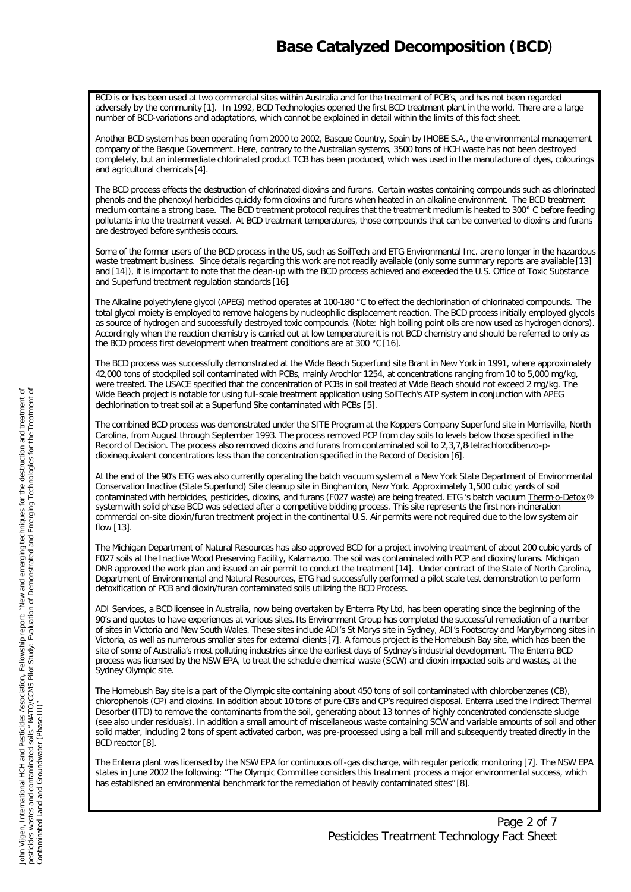BCD is or has been used at two commercial sites within Australia and for the treatment of PCB's, and has not been regarded adversely by the community [1]. In 1992, BCD Technologies opened the first BCD treatment plant in the world. There are a large number of BCD-variations and adaptations, which cannot be explained in detail within the limits of this fact sheet.

Another BCD system has been operating from 2000 to 2002, Basque Country, Spain by IHOBE S.A., the environmental management company of the Basque Government. Here, contrary to the Australian systems, 3500 tons of HCH waste has not been destroyed completely, but an intermediate chlorinated product TCB has been produced, which was used in the manufacture of dyes, colourings and agricultural chemicals [4].

The BCD process effects the destruction of chlorinated dioxins and furans. Certain wastes containing compounds such as chlorinated phenols and the phenoxyl herbicides quickly form dioxins and furans when heated in an alkaline environment. The BCD treatment medium contains a strong base. The BCD treatment protocol requires that the treatment medium is heated to 300° C before feeding pollutants into the treatment vessel. At BCD treatment temperatures, those compounds that can be converted to dioxins and furans are destroyed before synthesis occurs.

Some of the former users of the BCD process in the US, such as SoilTech and ETG Environmental Inc. are no longer in the hazardous waste treatment business. Since details regarding this work are not readily available (only some summary reports are available [13] and [14]), it is important to note that the clean-up with the BCD process achieved and exceeded the U.S. Office of Toxic Substance and Superfund treatment regulation standards [16].

The Alkaline polyethylene glycol (APEG) method operates at 100-180 °C to effect the dechlorination of chlorinated compounds. The total glycol moiety is employed to remove halogens by nucleophilic displacement reaction. The BCD process initially employed glycols as source of hydrogen and successfully destroyed toxic compounds. (Note: high boiling point oils are now used as hydrogen donors). Accordingly when the reaction chemistry is carried out at low temperature it is not BCD chemistry and should be referred to only as the BCD process first development when treatment conditions are at 300 °C [16].

The BCD process was successfully demonstrated at the Wide Beach Superfund site Brant in New York in 1991, where approximately 42,000 tons of stockpiled soil contaminated with PCBs, mainly Arochlor 1254, at concentrations ranging from 10 to 5,000 mg/kg, were treated. The USACE specified that the concentration of PCBs in soil treated at Wide Beach should not exceed 2 mg/kg. The Wide Beach project is notable for using full-scale treatment application using SoilTech's ATP system in conjunction with APEG dechlorination to treat soil at a Superfund Site contaminated with PCBs [5].

The combined BCD process was demonstrated under the SITE Program at the Koppers Company Superfund site in Morrisville, North Carolina, from August through September 1993. The process removed PCP from clay soils to levels below those specified in the Record of Decision. The process also removed dioxins and furans from contaminated soil to 2,3,7,8-tetrachlorodibenzo-pdioxinequivalent concentrations less than the concentration specified in the Record of Decision [6].

At the end of the 90's ETG was also currently operating the batch vacuum system at a New York State Department of Environmental Conservation Inactive (State Superfund) Site cleanup site in Binghamton, New York. Approximately 1,500 cubic yards of soil contaminated with herbicides, pesticides, dioxins, and furans (F027 waste) are being treated. ETG 's batch vacuum Therm-o-Detox® system with solid phase BCD was selected after a competitive bidding process. This site represents the first non-incineration commercial on-site dioxin/furan treatment project in the continental U.S. Air permits were not required due to the low system air flow [13].

The Michigan Department of Natural Resources has also approved BCD for a project involving treatment of about 200 cubic yards of F027 soils at the Inactive Wood Preserving Facility, Kalamazoo. The soil was contaminated with PCP and dioxins/furans. Michigan DNR approved the work plan and issued an air permit to conduct the treatment [14]. Under contract of the State of North Carolina, Department of Environmental and Natural Resources, ETG had successfully performed a pilot scale test demonstration to perform detoxification of PCB and dioxin/furan contaminated soils utilizing the BCD Process.

ADI Services, a BCD licensee in Australia, now being overtaken by Enterra Pty Ltd, has been operating since the beginning of the 90's and quotes to have experiences at various sites. Its Environment Group has completed the successful remediation of a number of sites in Victoria and New South Wales. These sites include ADI's St Marys site in Sydney, ADI's Footscray and Marybyrnong sites in Victoria, as well as numerous smaller sites for external clients [7]. A famous project is the Homebush Bay site, which has been the site of some of Australia's most polluting industries since the earliest days of Sydney's industrial development. The Enterra BCD process was licensed by the NSW EPA, to treat the schedule chemical waste (SCW) and dioxin impacted soils and wastes, at the Sydney Olympic site.

The Homebush Bay site is a part of the Olympic site containing about 450 tons of soil contaminated with chlorobenzenes (CB), chlorophenols (CP) and dioxins. In addition about 10 tons of pure CB's and CP's required disposal. Enterra used the Indirect Thermal Desorber (ITD) to remove the contaminants from the soil, generating about 13 tonnes of highly concentrated condensate sludge (see also under residuals). In addition a small amount of miscellaneous waste containing SCW and variable amounts of soil and other solid matter, including 2 tons of spent activated carbon, was pre-processed using a ball mill and subsequently treated directly in the BCD reactor [8].

The Enterra plant was licensed by the NSW EPA for continuous off-gas discharge, with regular periodic monitoring [7]. The NSW EPA states in June 2002 the following: "The Olympic Committee considers this treatment process a major environmental success, which has established an environmental benchmark for the remediation of heavily contaminated sites" [8].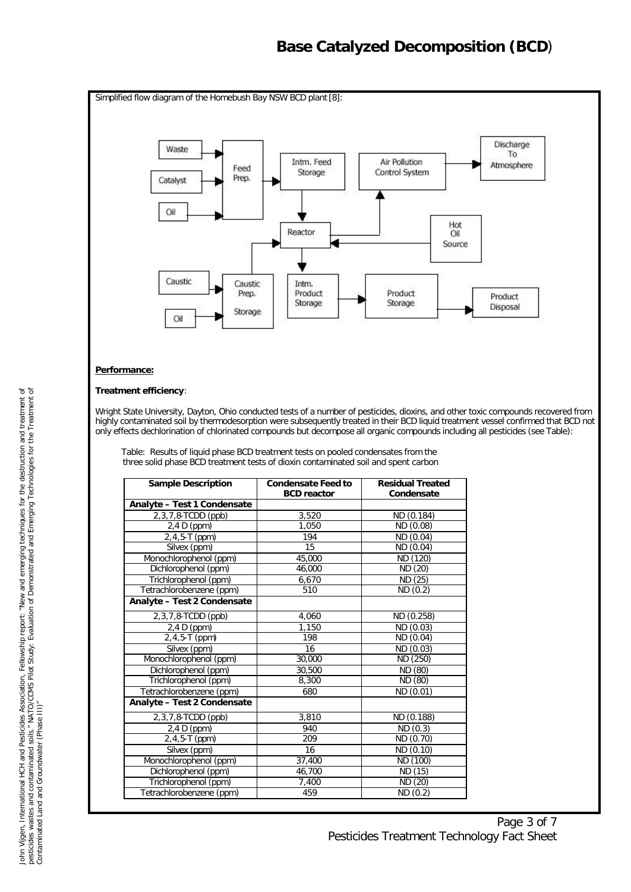### *Base Catalyzed Decomposition (BCD*)



### **Performance:**

### **Treatment efficiency**:

Wright State University, Dayton, Ohio conducted tests of a number of pesticides, dioxins, and other toxic compounds recovered from highly contaminated soil by thermodesorption were subsequently treated in their BCD liquid treatment vessel confirmed that BCD not only effects dechlorination of chlorinated compounds but decompose all organic compounds including all pesticides (see Table):

Table: Results of liquid phase BCD treatment tests on pooled condensates from the three solid phase BCD treatment tests of dioxin contaminated soil and spent carbon

| <b>Sample Description</b>   | <b>Condensate Feed to</b><br><b>BCD</b> reactor | <b>Residual Treated</b><br>Condensate |
|-----------------------------|-------------------------------------------------|---------------------------------------|
| Analyte - Test 1 Condensate |                                                 |                                       |
| 2, 3, 7, 8-TCDD (ppb)       | 3,520                                           | ND (0.184)                            |
| $2,4$ D (ppm)               | 1.050                                           | ND (0.08)                             |
| $2,4,5-T$ (ppm)             | 194                                             | ND (0.04)                             |
| Silvex (ppm)                | 15                                              | ND (0.04)                             |
| Monochlorophenol (ppm)      | 45,000                                          | ND (120)                              |
| Dichlorophenol (ppm)        | 46,000                                          | ND (20)                               |
| Trichlorophenol (ppm)       | 6,670                                           | ND (25)                               |
| Tetrachlorobenzene (ppm)    | 510                                             | ND(0.2)                               |
| Analyte - Test 2 Condensate |                                                 |                                       |
| 2, 3, 7, 8-TCDD (ppb)       | 4,060                                           | ND (0.258)                            |
| $2,4$ D (ppm)               | 1.150                                           | ND (0.03)                             |
| $2,4,5-T$ (ppm)             | 198                                             | ND (0.04)                             |
| Silvex (ppm)                | 16                                              | ND (0.03)                             |
| Monochlorophenol (ppm)      | 30,000                                          | ND (250)                              |
| Dichlorophenol (ppm)        | 30,500                                          | ND (80)                               |
| Trichlorophenol (ppm)       | 8,300                                           | ND (80)                               |
| Tetrachlorobenzene (ppm)    | 680                                             | ND (0.01)                             |
| Analyte - Test 2 Condensate |                                                 |                                       |
| 2, 3, 7, 8-TCDD (ppb)       | 3,810                                           | ND (0.188)                            |
| $2.4 D$ (ppm)               | 940                                             | ND(0.3)                               |
| $2, 4, 5 - T$ (ppm)         | 209                                             | ND (0.70)                             |
| Silvex (ppm)                | 16                                              | ND (0.10)                             |
| Monochlorophenol (ppm)      | 37,400                                          | ND (100)                              |
| Dichlorophenol (ppm)        | 46.700                                          | ND (15)                               |
| Trichlorophenol (ppm)       | 7,400                                           | ND (20)                               |
| Tetrachlorobenzene (ppm)    | 459                                             | ND(0.2)                               |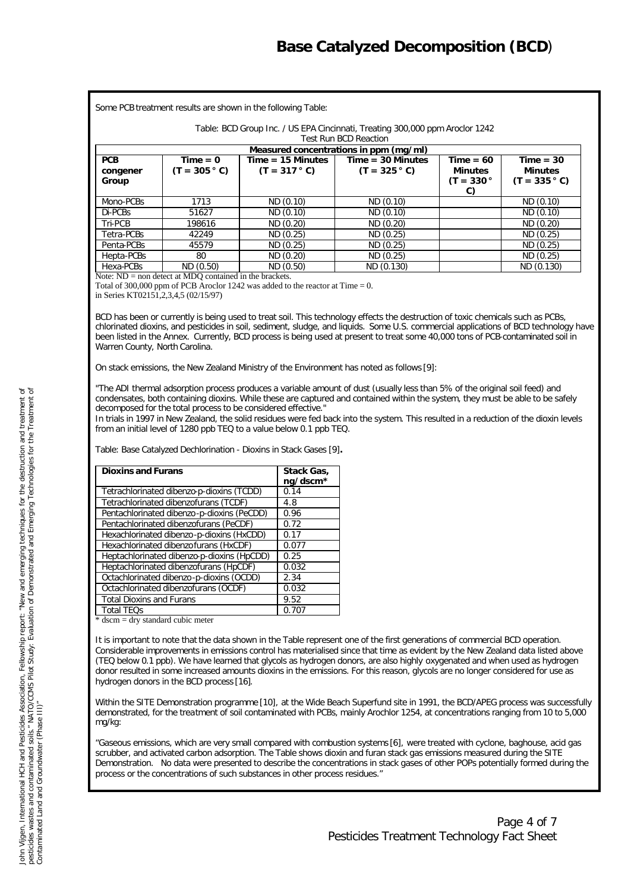Some PCB treatment results are shown in the following Table:

Table: BCD Group Inc. / US EPA Cincinnati, Treating 300,000 ppm Aroclor 1242

Test Run BCD Reaction

|                                 |                               |                                        | Measured concentrations in ppm (mg/ml) |                                                    |                                                  |
|---------------------------------|-------------------------------|----------------------------------------|----------------------------------------|----------------------------------------------------|--------------------------------------------------|
| <b>PCB</b><br>congener<br>Group | $Time = 0$<br>$(T = 305 ° C)$ | $Time = 15$ Minutes<br>$(T = 317 ° C)$ | $Time = 30$ Minutes<br>$(T = 325 ° C)$ | $Time = 60$<br><b>Minutes</b><br>$(T = 330°$<br>C) | $Time = 30$<br><b>Minutes</b><br>$(T = 335 ° C)$ |
| Mono-PCBs                       | 1713                          | ND (0.10)                              | ND (0.10)                              |                                                    | ND (0.10)                                        |
| Di-PCBs                         | 51627                         | ND(0.10)                               | ND(0.10)                               |                                                    | ND(0.10)                                         |
| Tri-PCB                         | 198616                        | ND (0.20)                              | ND(0.20)                               |                                                    | ND (0.20)                                        |
| Tetra-PCBs                      | 42249                         | ND(0.25)                               | ND(0.25)                               |                                                    | ND(0.25)                                         |
| Penta-PCBs                      | 45579                         | ND(0.25)                               | ND(0.25)                               |                                                    | ND(0.25)                                         |
| Hepta-PCBs                      | 80                            | ND (0.20)                              | ND (0.25)                              |                                                    | ND (0.25)                                        |
| Hexa-PCBs                       | ND (0.50)                     | ND (0.50)                              | ND (0.130)                             |                                                    | ND (0.130)                                       |

Note: ND = non detect at MDO contained in the brackets.

Total of 300,000 ppm of PCB Aroclor 1242 was added to the reactor at Time = 0.

in Series KT02151,2,3,4,5 (02/15/97)

BCD has been or currently is being used to treat soil. This technology effects the destruction of toxic chemicals such as PCBs, chlorinated dioxins, and pesticides in soil, sediment, sludge, and liquids. Some U.S. commercial applications of BCD technology have been listed in the Annex. Currently, BCD process is being used at present to treat some 40,000 tons of PCB-contaminated soil in Warren County, North Carolina.

On stack emissions, the New Zealand Ministry of the Environment has noted as follows [9]:

*"The ADI thermal adsorption process produces a variable amount of dust (usually less than 5% of the original soil feed) and condensates, both containing dioxins. While these are captured and contained within the system, they must be able to be safely decomposed for the total process to be considered effective."*

In trials in 1997 in New Zealand, the solid residues were fed back into the system. This resulted in a reduction of the dioxin levels from an initial level of 1280 ppb TEQ to a value below 0.1 ppb TEQ.

Table: Base Catalyzed Dechlorination - Dioxins in Stack Gases [9]**.**

| <b>Dioxins and Furans</b>                  | Stack Gas,<br>ng/dscm* |
|--------------------------------------------|------------------------|
| Tetrachlorinated dibenzo-p-dioxins (TCDD)  | 0.14                   |
| Tetrachlorinated dibenzofurans (TCDF)      | 4.8                    |
| Pentachlorinated dibenzo-p-dioxins (PeCDD) | 0.96                   |
| Pentachlorinated dibenzofurans (PeCDF)     | 0.72                   |
| Hexachlorinated dibenzo-p-dioxins (HxCDD)  | 0.17                   |
| Hexachlorinated dibenzofurans (HxCDF)      | 0.077                  |
| Heptachlorinated dibenzo-p-dioxins (HpCDD) | 0.25                   |
| Heptachlorinated dibenzofurans (HpCDF)     | 0.032                  |
| Octachlorinated dibenzo-p-dioxins (OCDD)   | 2.34                   |
| Octachlorinated dibenzofurans (OCDF)       | 0.032                  |
| <b>Total Dioxins and Furans</b>            | 9.52                   |
| <b>Total TEOs</b>                          | 0.707                  |

 $*$  dscm = dry standard cubic meter

It is important to note that the data shown in the Table represent one of the first generations of commercial BCD operation. Considerable improvements in emissions control has materialised since that time as evident by the New Zealand data listed above (TEQ below 0.1 ppb). We have learned that glycols as hydrogen donors, are also highly oxygenated and when used as hydrogen donor resulted in some increased amounts dioxins in the emissions. For this reason, glycols are no longer considered for use as hydrogen donors in the BCD process [16].

Within the SITE Demonstration programme [10], at the Wide Beach Superfund site in 1991, the BCD/APEG process was successfully demonstrated, for the treatment of soil contaminated with PCBs, mainly Arochlor 1254, at concentrations ranging from 10 to 5,000 mg/kg:

"Gaseous emissions, which are very small compared with combustion systems [6], were treated with cyclone, baghouse, acid gas scrubber, and activated carbon adsorption. The Table shows dioxin and furan stack gas emissions measured during the SITE Demonstration. No data were presented to describe the concentrations in stack gases of other POPs potentially formed during the process or the concentrations of such substances in other process residues."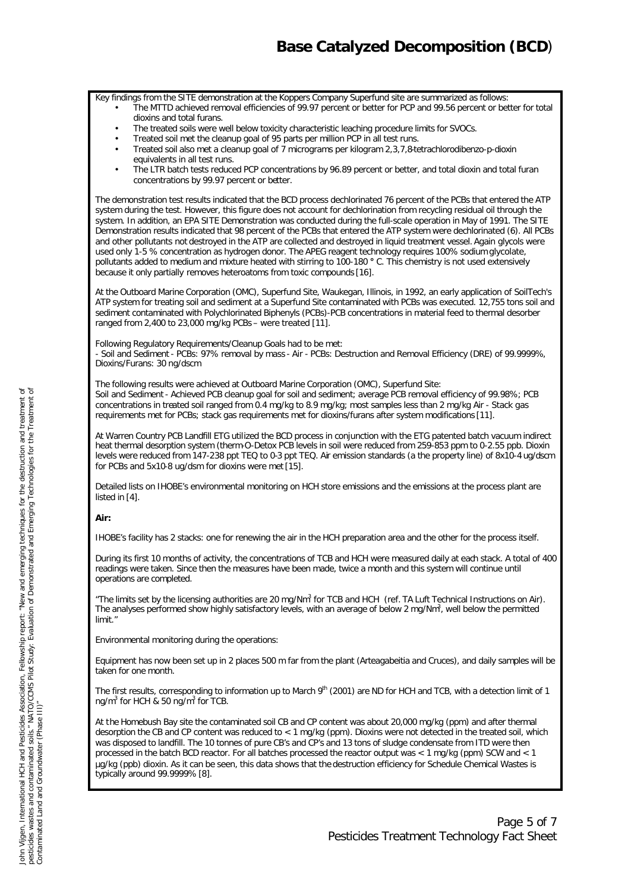Key findings from the SITE demonstration at the Koppers Company Superfund site are summarized as follows:

- The MTTD achieved removal efficiencies of 99.97 percent or better for PCP and 99.56 percent or better for total dioxins and total furans.
- The treated soils were well below toxicity characteristic leaching procedure limits for SVOCs.
- Treated soil met the cleanup goal of 95 parts per million PCP in all test runs.
- Treated soil also met a cleanup goal of 7 micrograms per kilogram 2,3,7,8-tetrachlorodibenzo-p-dioxin equivalents in all test runs.
- The LTR batch tests reduced PCP concentrations by 96.89 percent or better, and total dioxin and total furan concentrations by 99.97 percent or better.

The demonstration test results indicated that the BCD process dechlorinated 76 percent of the PCBs that entered the ATP system during the test. However, this figure does not account for dechlorination from recycling residual oil through the system. In addition, an EPA SITE Demonstration was conducted during the full-scale operation in May of 1991. The SITE Demonstration results indicated that 98 percent of the PCBs that entered the ATP system were dechlorinated (6). All PCBs and other pollutants not destroyed in the ATP are collected and destroyed in liquid treatment vessel. Again glycols were used only 1-5 % concentration as hydrogen donor. The APEG reagent technology requires 100% sodium glycolate, pollutants added to medium and mixture heated with stirring to 100-180 **°** C. This chemistry is not used extensively because it only partially removes heteroatoms from toxic compounds [16].

At the Outboard Marine Corporation (OMC), Superfund Site, Waukegan, Illinois, in 1992, an early application of SoilTech's ATP system for treating soil and sediment at a Superfund Site contaminated with PCBs was executed. 12,755 tons soil and sediment contaminated with Polychlorinated Biphenyls (PCBs)-PCB concentrations in material feed to thermal desorber ranged from 2,400 to 23,000 mg/kg PCBs – were treated [11].

Following Regulatory Requirements/Cleanup Goals had to be met: - Soil and Sediment - PCBs: 97% removal by mass - Air - PCBs: Destruction and Removal Efficiency (DRE) of 99.9999%, Dioxins/Furans: 30 ng/dscm

The following results were achieved at Outboard Marine Corporation (OMC), Superfund Site: Soil and Sediment - Achieved PCB cleanup goal for soil and sediment; average PCB removal efficiency of 99.98%; PCB concentrations in treated soil ranged from 0.4 mg/kg to 8.9 mg/kg; most samples less than 2 mg/kg Air - Stack gas requirements met for PCBs; stack gas requirements met for dioxins/furans after system modifications [11].

At Warren Country PCB Landfill ETG utilized the BCD process in conjunction with the ETG patented batch vacuum indirect heat thermal desorption system (therm-O-Detox PCB levels in soil were reduced from 259-853 ppm to 0-2.55 ppb. Dioxin levels were reduced from 147-238 ppt TEQ to 0-3 ppt TEQ. Air emission standards (a the property line) of 8x10-4 ug/dscm for PCBs and 5x10-8 ug/dsm for dioxins were met [15].

Detailed lists on IHOBE's environmental monitoring on HCH store emissions and the emissions at the process plant are listed in [4].

### **Air:**

IHOBE's facility has 2 stacks: one for renewing the air in the HCH preparation area and the other for the process itself.

During its first 10 months of activity, the concentrations of TCB and HCH were measured daily at each stack. A total of 400 readings were taken. Since then the measures have been made, twice a month and this system will continue until operations are completed.

"The limits set by the licensing authorities are 20 mg/Nm $^3$  for TCB and HCH (ref. TA Luft Technical Instructions on Air). The analyses performed show highly satisfactory levels, with an average of below 2 mg/Nm<sup>3</sup>, well below the permitted limit."

Environmental monitoring during the operations:

Equipment has now been set up in 2 places 500 m far from the plant (Arteagabeitia and Cruces), and daily samples will be taken for one month.

The first results, corresponding to information up to March 9th (2001) are ND for HCH and TCB, with a detection limit of 1 ng/m<sup>3</sup> for HCH & 50 ng/m<sup>3</sup> for TCB.

At the Homebush Bay site the contaminated soil CB and CP content was about 20,000 mg/kg (ppm) and after thermal desorption the CB and CP content was reduced to < 1 mg/kg (ppm). Dioxins were not detected in the treated soil, which was disposed to landfill. The 10 tonnes of pure CB's and CP's and 13 tons of sludge condensate from ITD were then processed in the batch BCD reactor. For all batches processed the reactor output was < 1 mg/kg (ppm) SCW and < 1 μg/kg (ppb) dioxin. As it can be seen, this data shows that the destruction efficiency for Schedule Chemical Wastes is typically around 99.9999% [8].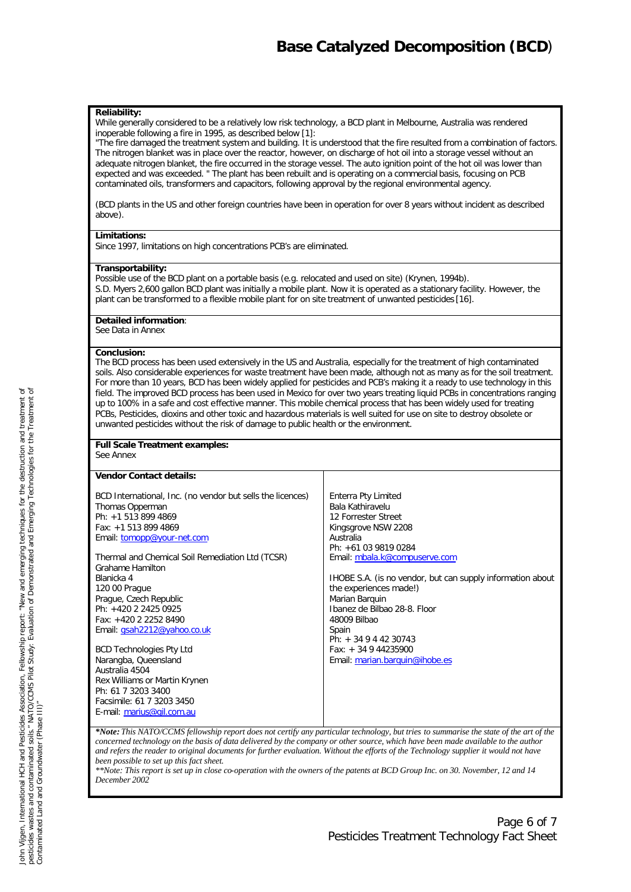#### **Reliability:**

While generally considered to be a relatively low risk technology, a BCD plant in Melbourne, Australia was rendered inoperable following a fire in 1995, as described below [1]:

"The fire damaged the treatment system and building. It is understood that the fire resulted from a combination of factors. The nitrogen blanket was in place over the reactor, however, on discharge of hot oil into a storage vessel without an adequate nitrogen blanket, the fire occurred in the storage vessel. The auto ignition point of the hot oil was lower than expected and was exceeded. " The plant has been rebuilt and is operating on a commercial basis, focusing on PCB contaminated oils, transformers and capacitors, following approval by the regional environmental agency.

(BCD plants in the US and other foreign countries have been in operation for over 8 years without incident as described above).

#### **Limitations:**

Since 1997, limitations on high concentrations PCB's are eliminated.

#### **Transportability:**

Possible use of the BCD plant on a portable basis (e.g. relocated and used on site) (Krynen, 1994b). S.D. Myers 2,600 gallon BCD plant was initially a mobile plant. Now it is operated as a stationary facility. However, the plant can be transformed to a flexible mobile plant for on site treatment of unwanted pesticides [16].

#### **Detailed information**:

See Data in Annex

#### **Conclusion:**

The BCD process has been used extensively in the US and Australia, especially for the treatment of high contaminated soils. Also considerable experiences for waste treatment have been made, although not as many as for the soil treatment. For more than 10 years, BCD has been widely applied for pesticides and PCB's making it a ready to use technology in this field. The improved BCD process has been used in Mexico for over two years treating liquid PCBs in concentrations ranging up to 100% in a safe and cost effective manner. This mobile chemical process that has been widely used for treating PCBs, Pesticides, dioxins and other toxic and hazardous materials is well suited for use on site to destroy obsolete or unwanted pesticides without the risk of damage to public health or the environment.

### **Full Scale Treatment examples:**

See Annex

| <b>Vendor Contact details:</b>                             |                                                            |
|------------------------------------------------------------|------------------------------------------------------------|
| BCD International, Inc. (no vendor but sells the licences) | Enterra Pty Limited                                        |
| Thomas Opperman                                            | Bala Kathiravelu                                           |
| Ph: +1 513 899 4869                                        | 12 Forrester Street                                        |
| Fax: +1 513 899 4869                                       | Kingsgrove NSW 2208                                        |
| Email: tomopp@your-net.com                                 | Australia                                                  |
|                                                            | Ph: +61 03 9819 0284                                       |
| Thermal and Chemical Soil Remediation Ltd (TCSR)           | Email: mbala.k@compuserve.com                              |
| <b>Grahame Hamilton</b>                                    |                                                            |
| Blanicka 4                                                 | IHOBE S.A. (is no vendor, but can supply information about |
| 120 00 Prague                                              | the experiences made!)                                     |
| Prague, Czech Republic                                     | Marian Barguin                                             |
| Ph: +420 2 2425 0925                                       | Ibanez de Bilbao 28-8. Floor                               |
| Fax: +420 2 2252 8490                                      | 48009 Bilbao                                               |
| Email: gsah2212@yahoo.co.uk                                | Spain                                                      |
|                                                            | Ph: + 34 9 4 42 30743                                      |
| <b>BCD Technologies Pty Ltd</b>                            | Fax: $+34944235900$                                        |
| Narangba, Queensland                                       | Email: marian.barquin@ihobe.es                             |
| Australia 4504                                             |                                                            |
| Rex Williams or Martin Krynen                              |                                                            |
| Ph: 61 7 3203 3400                                         |                                                            |
| Facsimile: 61 7 3203 3450                                  |                                                            |
| E-mail: marius@gil.com.au                                  |                                                            |
|                                                            |                                                            |

*\*Note: This NATO/CCMS fellowship report does not certify any particular technology, but tries to summarise the state of the art of the concerned technology on the basis of data delivered by the company or other source, which have been made available to the author and refers the reader to original documents for further evaluation. Without the efforts of the Technology supplier it would not have been possible to set up this fact sheet.*

*\*\*Note: This report is set up in close co-operation with the owners of the patents at BCD Group Inc. on 30. November, 12 and 14 December 2002*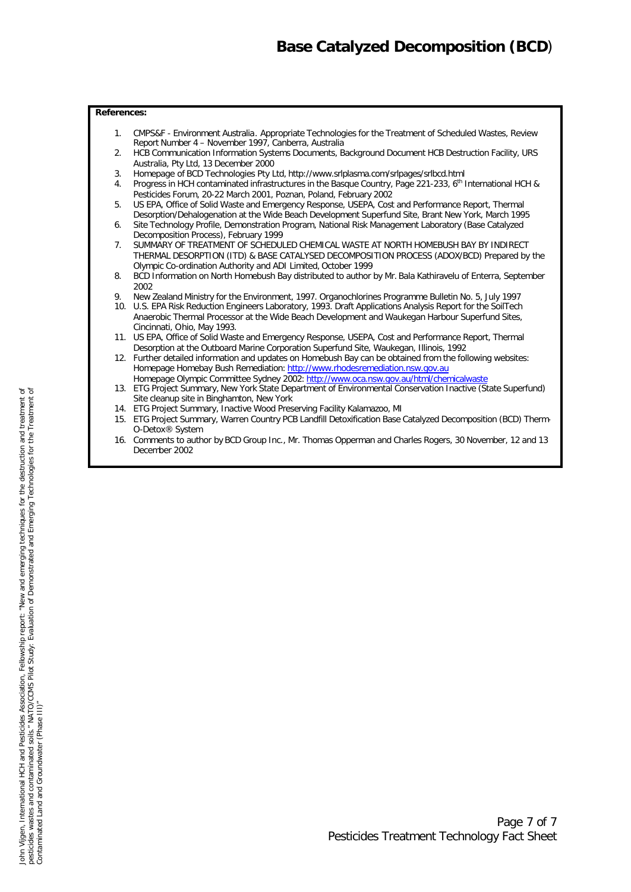### **References:**

- 1. CMPS&F Environment Australia. Appropriate Technologies for the Treatment of Scheduled Wastes, Review Report Number 4 – November 1997, Canberra, Australia
- 2. HCB Communication Information Systems Documents, Background Document HCB Destruction Facility, URS Australia, Pty Ltd, 13 December 2000
- 3. Homepage of BCD Technologies Pty Ltd, http://www.srlplasma.com/srlpages/srlbcd.html
- 4. Progress in HCH contaminated infrastructures in the Basque Country, Page 221-233, 6<sup>th</sup> International HCH & Pesticides Forum, 20-22 March 2001, Poznan, Poland, February 2002
- 5. US EPA, Office of Solid Waste and Emergency Response, USEPA, Cost and Performance Report, Thermal Desorption/Dehalogenation at the Wide Beach Development Superfund Site, Brant New York, March 1995
- 6. Site Technology Profile, Demonstration Program, National Risk Management Laboratory (Base Catalyzed Decomposition Process), February 1999
- 7. SUMMARY OF TREATMENT OF SCHEDULED CHEMICAL WASTE AT NORTH HOMEBUSH BAY BY INDIRECT THERMAL DESORPTION (ITD) & BASE CATALYSED DECOMPOSITION PROCESS (ADOX/BCD) Prepared by the Olympic Co-ordination Authority and ADI Limited, October 1999
- 8. BCD Information on North Homebush Bay distributed to author by Mr. Bala Kathiravelu of Enterra, September 2002
- 9. New Zealand Ministry for the Environment, 1997. Organochlorines Programme Bulletin No. 5, July 1997
- 10. U.S. EPA Risk Reduction Engineers Laboratory, 1993. Draft Applications Analysis Report for the SoilTech Anaerobic Thermal Processor at the Wide Beach Development and Waukegan Harbour Superfund Sites, Cincinnati, Ohio, May 1993.
- 11. US EPA, Office of Solid Waste and Emergency Response, USEPA, Cost and Performance Report, Thermal Desorption at the Outboard Marine Corporation Superfund Site, Waukegan, Illinois, 1992
- 12. Further detailed information and updates on Homebush Bay can be obtained from the following websites: Homepage Homebay Bush Remediation: http://www.rhodesremediation.nsw.gov.au
- Homepage Olympic Committee Sydney 2002: http://www.oca.nsw.gov.au/html/chemicalwaste 13. ETG Project Summary, New York State Department of Environmental Conservation Inactive (State Superfund) Site cleanup site in Binghamton, New York
- 14. ETG Project Summary, Inactive Wood Preserving Facility Kalamazoo, MI
- 15. ETG Project Summary, Warren Country PCB Landfill Detoxification Base Catalyzed Decomposition (BCD) Therm-O-Detox® System
- 16. Comments to author by BCD Group Inc., Mr. Thomas Opperman and Charles Rogers, 30 November, 12 and 13 December 2002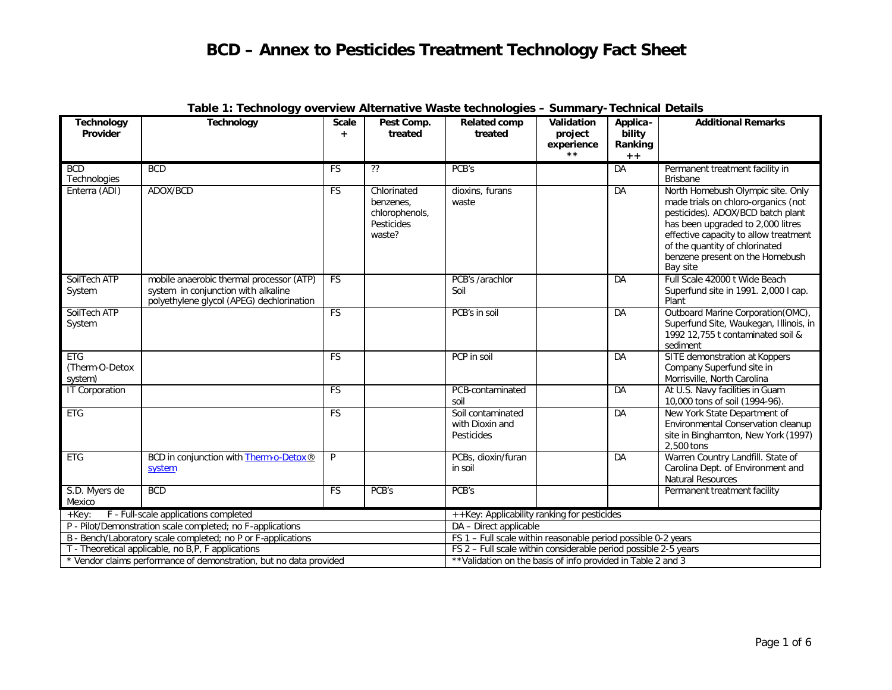| <b>Technology</b><br>Provider           | <b>Technology</b>                                                                                                            | <b>Scale</b><br>$+$ | Pest Comp.<br>treated                                              | <b>Related comp</b><br>treated                                  | Validation<br>project<br>experience | Applica-<br>bility<br>Ranking | <b>Additional Remarks</b>                                                                                                                                                                                                                                                    |
|-----------------------------------------|------------------------------------------------------------------------------------------------------------------------------|---------------------|--------------------------------------------------------------------|-----------------------------------------------------------------|-------------------------------------|-------------------------------|------------------------------------------------------------------------------------------------------------------------------------------------------------------------------------------------------------------------------------------------------------------------------|
|                                         |                                                                                                                              |                     |                                                                    |                                                                 | $***$                               | $+ +$                         |                                                                                                                                                                                                                                                                              |
| <b>BCD</b><br>Technologies              | <b>BCD</b>                                                                                                                   | <b>FS</b>           | ??                                                                 | PCB's                                                           |                                     | DA                            | Permanent treatment facility in<br><b>Brisbane</b>                                                                                                                                                                                                                           |
| Enterra (ADI)                           | ADOX/BCD                                                                                                                     | <b>FS</b>           | Chlorinated<br>benzenes.<br>chlorophenols,<br>Pesticides<br>waste? | dioxins, furans<br>waste                                        |                                     | DA                            | North Homebush Olympic site. Only<br>made trials on chloro-organics (not<br>pesticides). ADOX/BCD batch plant<br>has been upgraded to 2,000 litres<br>effective capacity to allow treatment<br>of the quantity of chlorinated<br>benzene present on the Homebush<br>Bay site |
| SoilTech ATP<br>System                  | mobile anaerobic thermal processor (ATP)<br>system in conjunction with alkaline<br>polyethylene glycol (APEG) dechlorination | <b>FS</b>           |                                                                    | PCB's /arachlor<br>Soil                                         |                                     | DA                            | Full Scale 42000 t Wide Beach<br>Superfund site in 1991. 2,000 I cap.<br>Plant                                                                                                                                                                                               |
| SoilTech ATP<br>System                  |                                                                                                                              | FS                  |                                                                    | PCB's in soil                                                   |                                     | <b>DA</b>                     | Outboard Marine Corporation(OMC),<br>Superfund Site, Waukegan, Illinois, in<br>1992 12,755 t contaminated soil &<br>sediment                                                                                                                                                 |
| <b>ETG</b><br>(Therm-O-Detox<br>system) |                                                                                                                              | FS                  |                                                                    | PCP in soil                                                     |                                     | DA                            | SITE demonstration at Koppers<br>Company Superfund site in<br>Morrisville, North Carolina                                                                                                                                                                                    |
| <b>IT Corporation</b>                   |                                                                                                                              | <b>FS</b>           |                                                                    | PCB-contaminated<br>soil                                        |                                     | DA                            | At U.S. Navy facilities in Guam<br>10,000 tons of soil (1994-96).                                                                                                                                                                                                            |
| <b>ETG</b>                              |                                                                                                                              | <b>FS</b>           |                                                                    | Soil contaminated<br>with Dioxin and<br>Pesticides              |                                     | DA                            | New York State Department of<br>Environmental Conservation cleanup<br>site in Binghamton, New York (1997)<br>2,500 tons                                                                                                                                                      |
| <b>ETG</b>                              | BCD in conjunction with Therm-o-Detox®<br>system                                                                             | P                   |                                                                    | PCBs, dioxin/furan<br>in soil                                   |                                     | DA                            | Warren Country Landfill. State of<br>Carolina Dept. of Environment and<br>Natural Resources                                                                                                                                                                                  |
| S.D. Myers de<br>Mexico                 | <b>BCD</b>                                                                                                                   | <b>FS</b>           | PCB's                                                              | PCB's                                                           |                                     |                               | Permanent treatment facility                                                                                                                                                                                                                                                 |
| $+$ $Kev:$                              | F - Full-scale applications completed                                                                                        |                     |                                                                    | ++Key: Applicability ranking for pesticides                     |                                     |                               |                                                                                                                                                                                                                                                                              |
|                                         | P - Pilot/Demonstration scale completed; no F-applications                                                                   |                     |                                                                    | DA - Direct applicable                                          |                                     |                               |                                                                                                                                                                                                                                                                              |
|                                         | B - Bench/Laboratory scale completed; no P or F-applications                                                                 |                     |                                                                    | FS 1 - Full scale within reasonable period possible 0-2 years   |                                     |                               |                                                                                                                                                                                                                                                                              |
|                                         | T - Theoretical applicable, no B,P, F applications                                                                           |                     |                                                                    | FS 2 - Full scale within considerable period possible 2-5 years |                                     |                               |                                                                                                                                                                                                                                                                              |
|                                         | * Vendor claims performance of demonstration, but no data provided                                                           |                     |                                                                    | ** Validation on the basis of info provided in Table 2 and 3    |                                     |                               |                                                                                                                                                                                                                                                                              |

### **Table 1: Technology overview Alternative Waste technologies – Summary-Technical Details**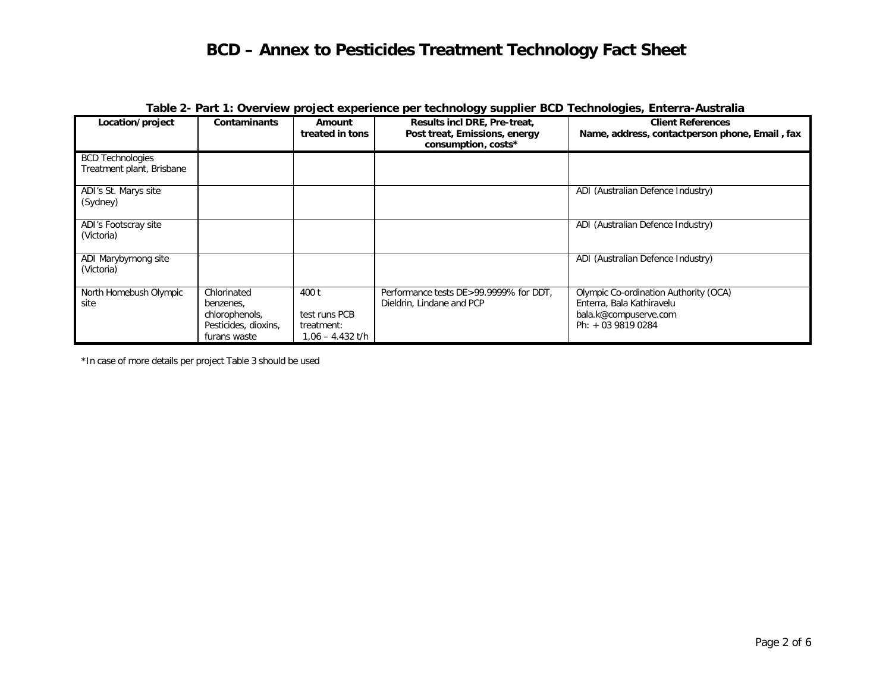|                                                      |                                                                                    |                                                            | $1000$ $\mu$ . This is over their project experience for technicity frame bob technicity $1000$ Enterial radiation |                                                                                                                   |
|------------------------------------------------------|------------------------------------------------------------------------------------|------------------------------------------------------------|--------------------------------------------------------------------------------------------------------------------|-------------------------------------------------------------------------------------------------------------------|
| Location/project                                     | <b>Contaminants</b>                                                                | Amount<br>treated in tons                                  | Results incl DRE, Pre-treat,<br>Post treat, Emissions, energy<br>consumption, costs*                               | <b>Client References</b><br>Name, address, contactperson phone, Email, fax                                        |
| <b>BCD Technologies</b><br>Treatment plant, Brisbane |                                                                                    |                                                            |                                                                                                                    |                                                                                                                   |
| ADI's St. Marys site<br>(Sydney)                     |                                                                                    |                                                            |                                                                                                                    | ADI (Australian Defence Industry)                                                                                 |
| ADI's Footscray site<br>(Victoria)                   |                                                                                    |                                                            |                                                                                                                    | ADI (Australian Defence Industry)                                                                                 |
| ADI Marybyrnong site<br>(Victoria)                   |                                                                                    |                                                            |                                                                                                                    | ADI (Australian Defence Industry)                                                                                 |
| North Homebush Olympic<br>site                       | Chlorinated<br>benzenes,<br>chlorophenols,<br>Pesticides, dioxins,<br>furans waste | 400 t<br>test runs PCB<br>treatment:<br>$1,06 - 4.432$ t/h | Performance tests DE>99.9999% for DDT,<br>Dieldrin, Lindane and PCP                                                | Olympic Co-ordination Authority (OCA)<br>Enterra, Bala Kathiravelu<br>bala.k@compuserve.com<br>Ph: + 03 9819 0284 |

### **Table 2- Part 1: Overview project experience per technology supplier BCD Technologies, Enterra-Australia**

\*In case of more details per project Table 3 should be used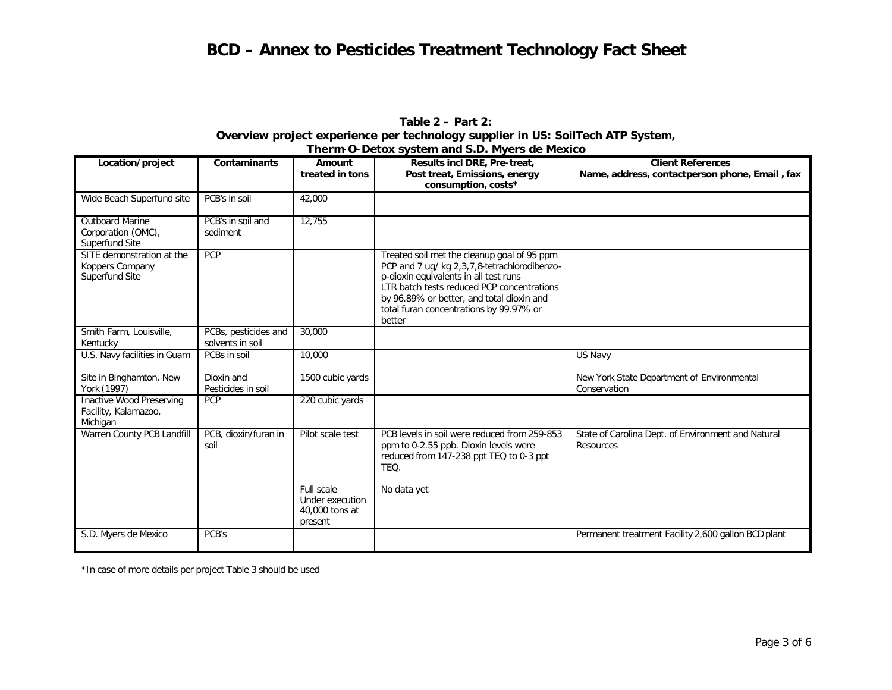### **Table 2 – Part 2: Overview project experience per technology supplier in US: SoilTech ATP System, Therm-O-Detox system and S.D. Myers de Mexico**

| Location/project                                                    | <b>Contaminants</b>                      | Amount                                                     | Results incl DRE, Pre-treat,                                                                                                                                                                                                                                                         | <b>Client References</b>                                        |
|---------------------------------------------------------------------|------------------------------------------|------------------------------------------------------------|--------------------------------------------------------------------------------------------------------------------------------------------------------------------------------------------------------------------------------------------------------------------------------------|-----------------------------------------------------------------|
|                                                                     |                                          | treated in tons                                            | Post treat, Emissions, energy<br>consumption, costs*                                                                                                                                                                                                                                 | Name, address, contactperson phone, Email, fax                  |
| Wide Beach Superfund site                                           | PCB's in soil                            | 42,000                                                     |                                                                                                                                                                                                                                                                                      |                                                                 |
| <b>Outboard Marine</b><br>Corporation (OMC),<br>Superfund Site      | PCB's in soil and<br>sediment            | 12,755                                                     |                                                                                                                                                                                                                                                                                      |                                                                 |
| SITE demonstration at the<br>Koppers Company<br>Superfund Site      | <b>PCP</b>                               |                                                            | Treated soil met the cleanup goal of 95 ppm<br>PCP and 7 ug/ kg 2,3,7,8-tetrachlorodibenzo-<br>p-dioxin equivalents in all test runs<br>LTR batch tests reduced PCP concentrations<br>by 96.89% or better, and total dioxin and<br>total furan concentrations by 99.97% or<br>better |                                                                 |
| Smith Farm, Louisville,<br>Kentucky                                 | PCBs, pesticides and<br>solvents in soil | 30,000                                                     |                                                                                                                                                                                                                                                                                      |                                                                 |
| U.S. Navy facilities in Guam                                        | PCBs in soil                             | 10,000                                                     |                                                                                                                                                                                                                                                                                      | US Navy                                                         |
| Site in Binghamton, New<br>York (1997)                              | Dioxin and<br>Pesticides in soil         | 1500 cubic yards                                           |                                                                                                                                                                                                                                                                                      | New York State Department of Environmental<br>Conservation      |
| <b>Inactive Wood Preserving</b><br>Facility, Kalamazoo,<br>Michigan | <b>PCP</b>                               | 220 cubic yards                                            |                                                                                                                                                                                                                                                                                      |                                                                 |
| Warren County PCB Landfill                                          | PCB, dioxin/furan in<br>soil             | Pilot scale test                                           | PCB levels in soil were reduced from 259-853<br>ppm to 0-2.55 ppb. Dioxin levels were<br>reduced from 147-238 ppt TEQ to 0-3 ppt<br>TEQ.                                                                                                                                             | State of Carolina Dept. of Environment and Natural<br>Resources |
|                                                                     |                                          | Full scale<br>Under execution<br>40,000 tons at<br>present | No data yet                                                                                                                                                                                                                                                                          |                                                                 |
| S.D. Myers de Mexico                                                | PCB's                                    |                                                            |                                                                                                                                                                                                                                                                                      | Permanent treatment Facility 2,600 gallon BCD plant             |

\*In case of more details per project Table 3 should be used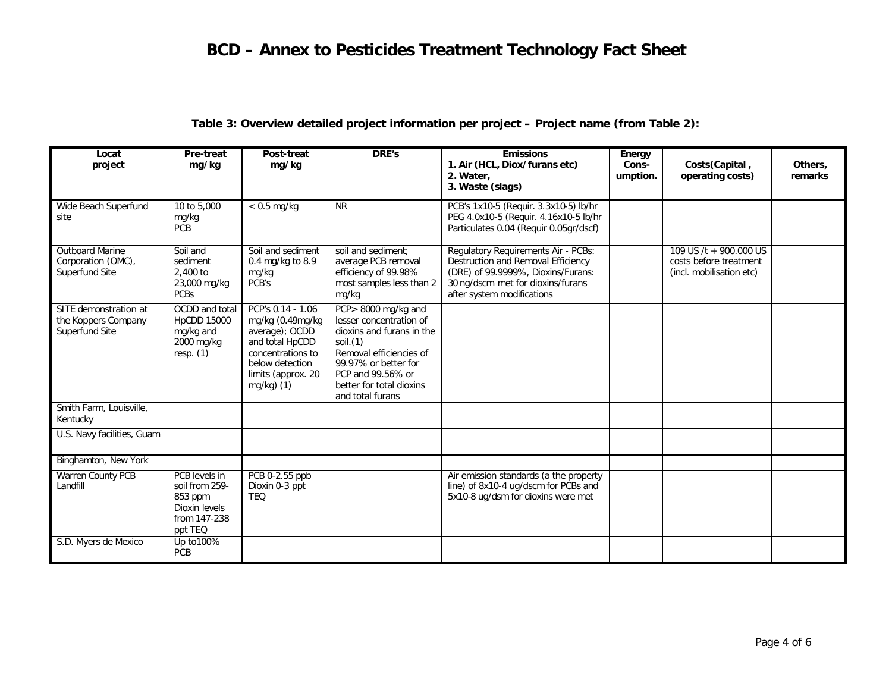| Locat<br>project                                               | Pre-treat<br>mg/kg                                                                     | Post-treat<br>mg/kg                                                                                                                                    | <b>DRE's</b>                                                                                                                                                                                                   | <b>Emissions</b><br>1. Air (HCL, Diox/furans etc)<br>2. Water.<br>3. Waste (slags)                                                                                                 | Energy<br>Cons-<br>umption. | Costs(Capital,<br>operating costs)                                           | Others,<br>remarks |
|----------------------------------------------------------------|----------------------------------------------------------------------------------------|--------------------------------------------------------------------------------------------------------------------------------------------------------|----------------------------------------------------------------------------------------------------------------------------------------------------------------------------------------------------------------|------------------------------------------------------------------------------------------------------------------------------------------------------------------------------------|-----------------------------|------------------------------------------------------------------------------|--------------------|
| Wide Beach Superfund<br>site                                   | 10 to 5,000<br>mg/kg<br>PCB                                                            | $< 0.5$ mg/kg                                                                                                                                          | <b>NR</b>                                                                                                                                                                                                      | PCB's 1x10-5 (Requir. 3.3x10-5) lb/hr<br>PEG 4.0x10-5 (Requir. 4.16x10-5 lb/hr<br>Particulates 0.04 (Requir 0.05gr/dscf)                                                           |                             |                                                                              |                    |
| <b>Outboard Marine</b><br>Corporation (OMC),<br>Superfund Site | Soil and<br>sediment<br>2,400 to<br>23,000 mg/kg<br><b>PCBs</b>                        | Soil and sediment<br>0.4 mg/kg to $8.9$<br>mg/kg<br>PCB's                                                                                              | soil and sediment:<br>average PCB removal<br>efficiency of 99.98%<br>most samples less than 2<br>mg/kg                                                                                                         | Regulatory Requirements Air - PCBs:<br>Destruction and Removal Efficiency<br>(DRE) of 99.9999%, Dioxins/Furans:<br>30 ng/dscm met for dioxins/furans<br>after system modifications |                             | 109 US /t + 900.000 US<br>costs before treatment<br>(incl. mobilisation etc) |                    |
| SITE demonstration at<br>the Koppers Company<br>Superfund Site | OCDD and total<br><b>HpCDD 15000</b><br>mg/kg and<br>2000 mg/kg<br>resp. $(1)$         | PCP's 0.14 - 1.06<br>mg/kg (0.49mg/kg<br>average); OCDD<br>and total HpCDD<br>concentrations to<br>below detection<br>limits (approx. 20<br>mg/kg) (1) | PCP>8000 mg/kg and<br>lesser concentration of<br>dioxins and furans in the<br>soil.(1)<br>Removal efficiencies of<br>99.97% or better for<br>PCP and 99.56% or<br>better for total dioxins<br>and total furans |                                                                                                                                                                                    |                             |                                                                              |                    |
| Smith Farm, Louisville,<br>Kentucky                            |                                                                                        |                                                                                                                                                        |                                                                                                                                                                                                                |                                                                                                                                                                                    |                             |                                                                              |                    |
| U.S. Navy facilities, Guam                                     |                                                                                        |                                                                                                                                                        |                                                                                                                                                                                                                |                                                                                                                                                                                    |                             |                                                                              |                    |
| Binghamton, New York                                           |                                                                                        |                                                                                                                                                        |                                                                                                                                                                                                                |                                                                                                                                                                                    |                             |                                                                              |                    |
| Warren County PCB<br>Landfill                                  | PCB levels in<br>soil from 259-<br>853 ppm<br>Dioxin levels<br>from 147-238<br>ppt TEQ | PCB 0-2.55 ppb<br>Dioxin 0-3 ppt<br><b>TEO</b>                                                                                                         |                                                                                                                                                                                                                | Air emission standards (a the property<br>line) of 8x10-4 ug/dscm for PCBs and<br>5x10-8 ug/dsm for dioxins were met                                                               |                             |                                                                              |                    |
| S.D. Myers de Mexico                                           | Up to 100%<br>PCB                                                                      |                                                                                                                                                        |                                                                                                                                                                                                                |                                                                                                                                                                                    |                             |                                                                              |                    |

### **Table 3: Overview detailed project information per project – Project name (from Table 2):**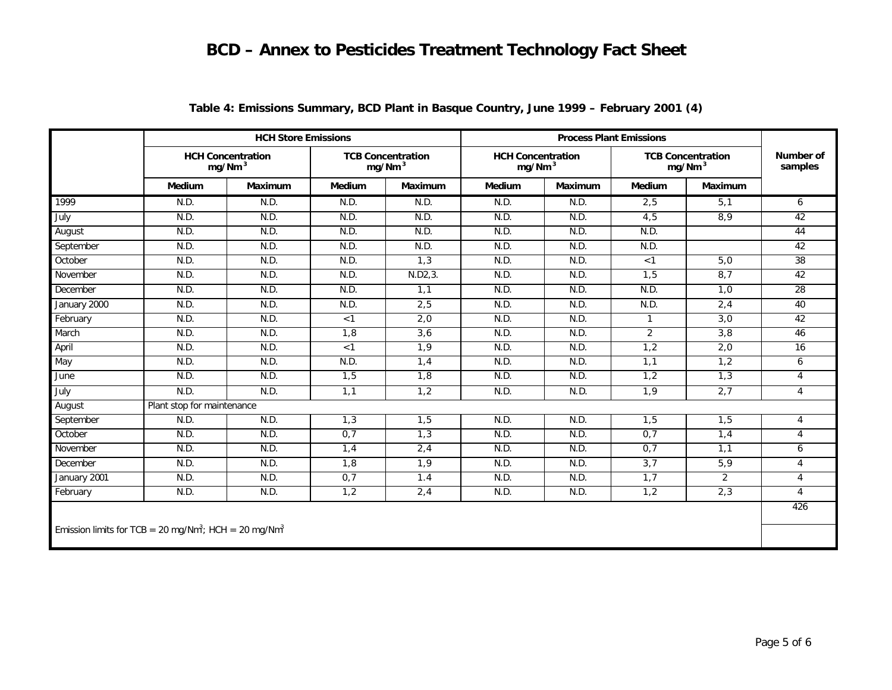|                                                                               |                            | <b>HCH Store Emissions</b>                     |        |                                                |                                                | <b>Process Plant Emissions</b> |                |                                                |                      |
|-------------------------------------------------------------------------------|----------------------------|------------------------------------------------|--------|------------------------------------------------|------------------------------------------------|--------------------------------|----------------|------------------------------------------------|----------------------|
|                                                                               |                            | <b>HCH Concentration</b><br>mg/Nm <sup>3</sup> |        | <b>TCB Concentration</b><br>mg/Nm <sup>3</sup> | <b>HCH Concentration</b><br>mg/Nm <sup>3</sup> |                                |                | <b>TCB Concentration</b><br>mg/Nm <sup>3</sup> | Number of<br>samples |
|                                                                               | Medium                     | <b>Maximum</b>                                 | Medium | <b>Maximum</b>                                 | Medium                                         | <b>Maximum</b>                 | Medium         | <b>Maximum</b>                                 |                      |
| 1999                                                                          | N.D.                       | N.D.                                           | N.D.   | N.D.                                           | N.D.                                           | N.D.                           | 2,5            | 5,1                                            | 6                    |
| July                                                                          | N.D.                       | N.D.                                           | N.D.   | N.D.                                           | N.D.                                           | N.D.                           | 4,5            | 8,9                                            | 42                   |
| August                                                                        | N.D.                       | N.D.                                           | N.D.   | N.D.                                           | N.D.                                           | N.D.                           | N.D.           |                                                | 44                   |
| September                                                                     | N.D.                       | N.D.                                           | N.D.   | N.D.                                           | N.D.                                           | N.D.                           | N.D.           |                                                | 42                   |
| October                                                                       | N.D.                       | N.D.                                           | N.D.   | 1,3                                            | N.D.                                           | N.D.                           | < 1            | 5,0                                            | 38                   |
| November                                                                      | N.D.                       | N.D.                                           | N.D.   | N.D2, 3.                                       | N.D.                                           | N.D.                           | 1,5            | 8,7                                            | 42                   |
| December                                                                      | N.D.                       | N.D.                                           | N.D.   | 1,1                                            | N.D.                                           | N.D.                           | N.D.           | 1,0                                            | 28                   |
| January 2000                                                                  | N.D.                       | N.D.                                           | N.D.   | 2,5                                            | N.D.                                           | N.D.                           | N.D.           | 2,4                                            | 40                   |
| February                                                                      | N.D.                       | N.D.                                           | < 1    | 2,0                                            | N.D.                                           | N.D.                           | $\mathbf{1}$   | 3,0                                            | 42                   |
| March                                                                         | N.D.                       | N.D.                                           | 1,8    | 3,6                                            | N.D.                                           | N.D.                           | $\overline{2}$ | 3,8                                            | 46                   |
| April                                                                         | N.D.                       | N.D.                                           | < 1    | 1,9                                            | N.D.                                           | N.D.                           | 1,2            | 2,0                                            | 16                   |
| May                                                                           | N.D.                       | N.D.                                           | N.D.   | 1,4                                            | N.D.                                           | N.D.                           | 1,1            | 1,2                                            | 6                    |
| June                                                                          | N.D.                       | N.D.                                           | 1,5    | 1,8                                            | N.D.                                           | N.D.                           | 1,2            | 1,3                                            | $\overline{4}$       |
| July                                                                          | N.D.                       | N.D.                                           | 1,1    | 1,2                                            | N.D.                                           | N.D.                           | 1.9            | 2,7                                            | $\overline{4}$       |
| August                                                                        | Plant stop for maintenance |                                                |        |                                                |                                                |                                |                |                                                |                      |
| September                                                                     | N.D.                       | N.D.                                           | 1,3    | 1,5                                            | N.D.                                           | N.D.                           | 1,5            | 1,5                                            | $\overline{4}$       |
| October                                                                       | N.D.                       | N.D.                                           | 0,7    | 1,3                                            | N.D.                                           | N.D.                           | 0,7            | 1,4                                            | $\overline{4}$       |
| November                                                                      | N.D.                       | N.D.                                           | 1,4    | 2,4                                            | N.D.                                           | N.D.                           | 0,7            | 1,1                                            | 6                    |
| December                                                                      | N.D.                       | N.D.                                           | 1,8    | 1,9                                            | N.D.                                           | N.D.                           | 3,7            | 5,9                                            | $\overline{4}$       |
| January 2001                                                                  | N.D.                       | N.D.                                           | 0,7    | 1.4                                            | N.D.                                           | N.D.                           | 1,7            | $\overline{2}$                                 | $\overline{4}$       |
| February                                                                      | N.D.                       | N.D.                                           | 1,2    | 2,4                                            | N.D.                                           | N.D.                           | 1,2            | 2,3                                            | $\overline{4}$       |
|                                                                               |                            |                                                |        |                                                |                                                |                                |                |                                                | 426                  |
| Emission limits for TCB = 20 mg/Nm <sup>3</sup> ; HCH = 20 mg/Nm <sup>3</sup> |                            |                                                |        |                                                |                                                |                                |                |                                                |                      |

### **Table 4: Emissions Summary, BCD Plant in Basque Country, June 1999 – February 2001 (4)**